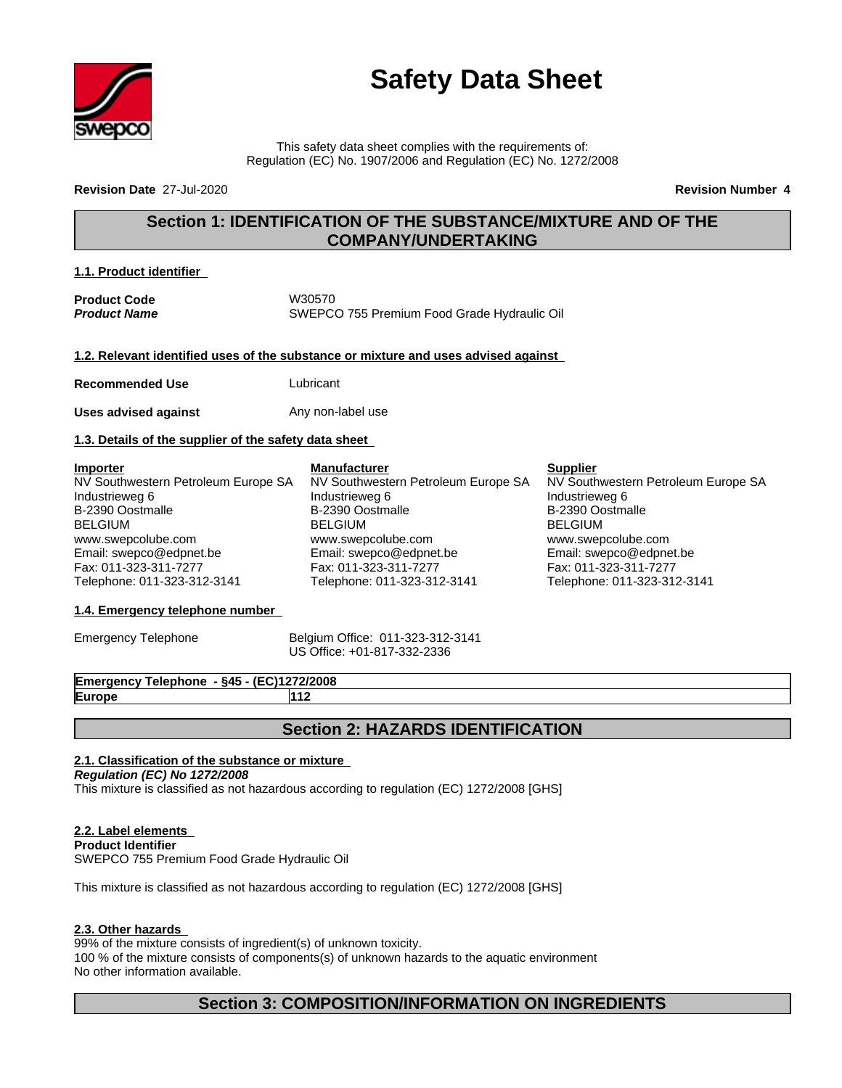

# **Safety Data Sheet**

This safety data sheet complies with the requirements of: Regulation (EC) No. 1907/2006 and Regulation (EC) No. 1272/2008

**Revision Date** 27-Jul-2020 **Revision Number 4**

# **Section 1: IDENTIFICATION OF THE SUBSTANCE/MIXTURE AND OF THE COMPANY/UNDERTAKING**

NV Southwestern Petroleum Europe SA

**Supplier**

Industrieweg 6 B-2390 Oostmalle BELGIUM

www.swepcolube.com Email: swepco@edpnet.be Fax: 011-323-311-7277 Telephone: 011-323-312-3141

NV Southwestern Petroleum Europe SA

#### **1.1. Product identifier**

**Product Code** W30570 *Product Name* SWEPCO 755 Premium Food Grade Hydraulic Oil

**1.2. Relevant identified uses of the substance or mixture and uses advised against**

**Manufacturer**

Industrieweg 6 B-2390 Oostmalle BELGIUM

www.swepcolube.com Email: swepco@edpnet.be Fax: 011-323-311-7277 Telephone: 011-323-312-3141

**Recommended Use Lubricant** 

**Uses advised against** Any non-label use

#### **1.3. Details of the supplier of the safety data sheet**

**Importer** NV Southwestern Petroleum Europe SA Industrieweg 6 B-2390 Oostmalle BELGIUM www.swepcolube.com Email: swepco@edpnet.be Fax: 011-323-311-7277 Telephone: 011-323-312-3141

# **1.4. Emergency telephone number**

Emergency Telephone Belgium Office: 011-323-312-3141 US Office: +01-817-332-2336

**Emergency Telephone - §45 - (EC)1272/2008 Europe 112**

# **Section 2: HAZARDS IDENTIFICATION**

#### **2.1. Classification of the substance or mixture**

*Regulation (EC) No 1272/2008* This mixture is classified as not hazardous according to regulation (EC) 1272/2008 [GHS]

### **2.2. Label elements**

**Product Identifier** SWEPCO 755 Premium Food Grade Hydraulic Oil

This mixture is classified as not hazardous according to regulation (EC) 1272/2008 [GHS]

#### **2.3. Other hazards**

99% of the mixture consists of ingredient(s) of unknown toxicity.

100 % of the mixture consists of components(s) of unknown hazards to the aquatic environment No other information available.

# **Section 3: COMPOSITION/INFORMATION ON INGREDIENTS**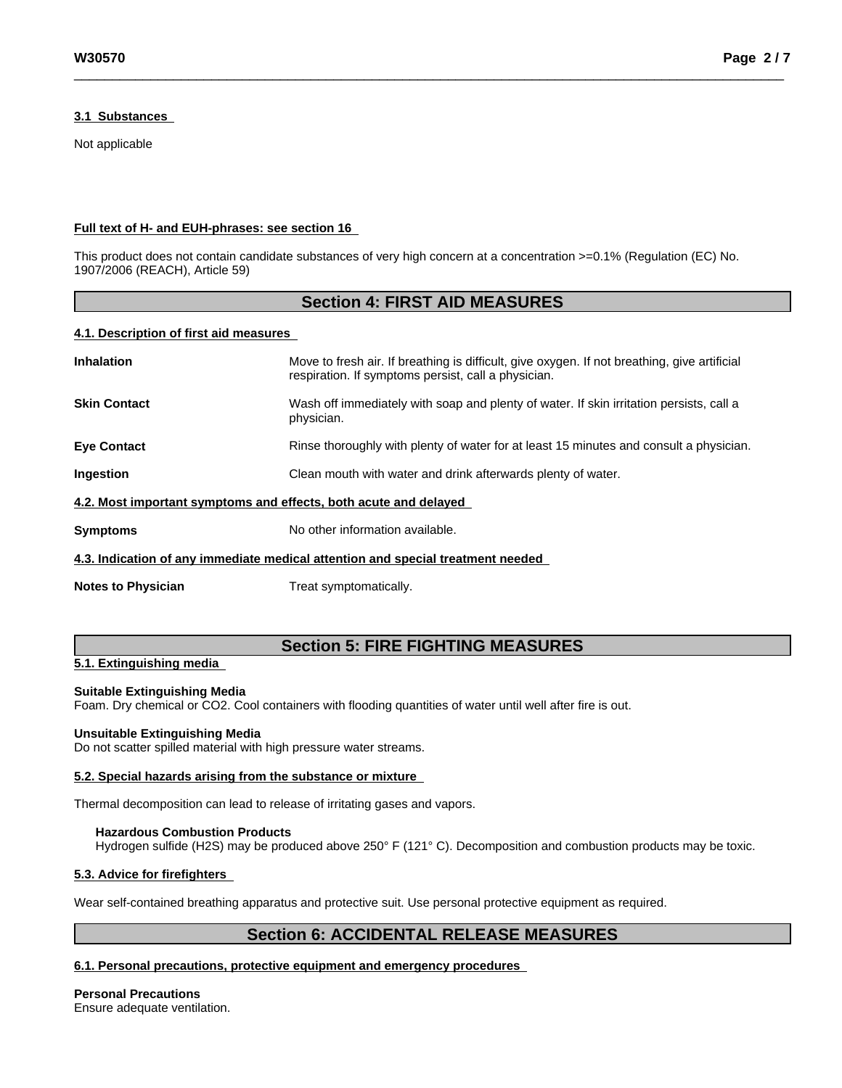#### **3.1 Substances**

Not applicable

#### **Full text of H- and EUH-phrases: see section 16**

This product does not contain candidate substances of very high concern at a concentration >=0.1% (Regulation (EC) No. 1907/2006 (REACH), Article 59)

### **Section 4: FIRST AID MEASURES**

#### **4.1. Description of first aid measures**

| <b>Inhalation</b>                                                               | Move to fresh air. If breathing is difficult, give oxygen. If not breathing, give artificial<br>respiration. If symptoms persist, call a physician. |
|---------------------------------------------------------------------------------|-----------------------------------------------------------------------------------------------------------------------------------------------------|
| <b>Skin Contact</b>                                                             | Wash off immediately with soap and plenty of water. If skin irritation persists, call a<br>physician.                                               |
| <b>Eye Contact</b>                                                              | Rinse thoroughly with plenty of water for at least 15 minutes and consult a physician.                                                              |
| <b>Ingestion</b>                                                                | Clean mouth with water and drink afterwards plenty of water.                                                                                        |
| 4.2. Most important symptoms and effects, both acute and delayed                |                                                                                                                                                     |
| <b>Symptoms</b>                                                                 | No other information available.                                                                                                                     |
| 4.3. Indication of any immediate medical attention and special treatment needed |                                                                                                                                                     |

**Notes to Physician** Treat symptomatically.

# **Section 5: FIRE FIGHTING MEASURES**

### **5.1. Extinguishing media**

#### **Suitable Extinguishing Media**

Foam. Dry chemical or CO2. Cool containers with flooding quantities of water until well after fire is out.

#### **Unsuitable Extinguishing Media**

Do not scatter spilled material with high pressure water streams.

#### **5.2. Special hazards arising from the substance or mixture**

Thermal decomposition can lead to release of irritating gases and vapors.

#### **Hazardous Combustion Products**

Hydrogen sulfide (H2S) may be produced above 250° F (121° C). Decomposition and combustion products may be toxic.

#### **5.3. Advice for firefighters**

Wear self-contained breathing apparatus and protective suit. Use personal protective equipment as required.

# **Section 6: ACCIDENTAL RELEASE MEASURES**

#### **6.1. Personal precautions, protective equipment and emergency procedures**

**Personal Precautions** Ensure adequate ventilation.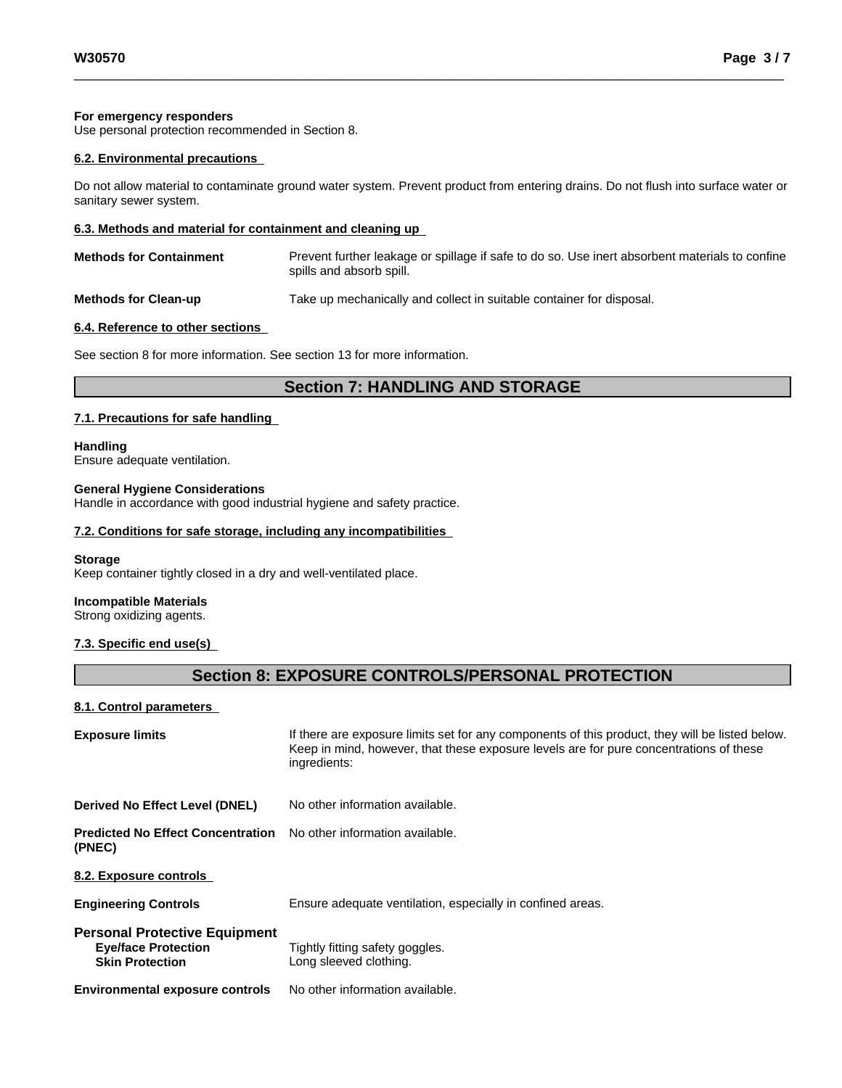#### **For emergency responders**

Use personal protection recommended in Section 8.

#### **6.2. Environmental precautions**

Do not allow material to contaminate ground water system. Prevent product from entering drains. Do not flush into surface water or sanitary sewer system.

#### **6.3. Methods and material for containment and cleaning up**

| <b>Methods for Containment</b> | Prevent further leakage or spillage if safe to do so. Use inert absorbent materials to confine |
|--------------------------------|------------------------------------------------------------------------------------------------|
|                                | spills and absorb spill.                                                                       |
|                                |                                                                                                |

**Methods for Clean-up** Take up mechanically and collect in suitable container for disposal.

#### **6.4. Reference to other sections**

See section 8 for more information. See section 13 for more information.

# **Section 7: HANDLING AND STORAGE**

#### **7.1. Precautions for safe handling**

**Handling** Ensure adequate ventilation.

# **General Hygiene Considerations**

Handle in accordance with good industrial hygiene and safety practice.

#### **7.2. Conditions for safe storage, including any incompatibilities**

#### **Storage**

Keep container tightly closed in a dry and well-ventilated place.

#### **Incompatible Materials**

Strong oxidizing agents.

#### **7.3. Specific end use(s)**

# **Section 8: EXPOSURE CONTROLS/PERSONAL PROTECTION**

#### **8.1. Control parameters**

| <b>Exposure limits</b>                                                                       | If there are exposure limits set for any components of this product, they will be listed below.<br>Keep in mind, however, that these exposure levels are for pure concentrations of these<br>ingredients: |
|----------------------------------------------------------------------------------------------|-----------------------------------------------------------------------------------------------------------------------------------------------------------------------------------------------------------|
| Derived No Effect Level (DNEL)                                                               | No other information available.                                                                                                                                                                           |
| <b>Predicted No Effect Concentration</b><br>(PNEC)                                           | No other information available.                                                                                                                                                                           |
| 8.2. Exposure controls                                                                       |                                                                                                                                                                                                           |
| <b>Engineering Controls</b>                                                                  | Ensure adequate ventilation, especially in confined areas.                                                                                                                                                |
| <b>Personal Protective Equipment</b><br><b>Eye/face Protection</b><br><b>Skin Protection</b> | Tightly fitting safety goggles.<br>Long sleeved clothing.                                                                                                                                                 |
| <b>Environmental exposure controls</b>                                                       | No other information available.                                                                                                                                                                           |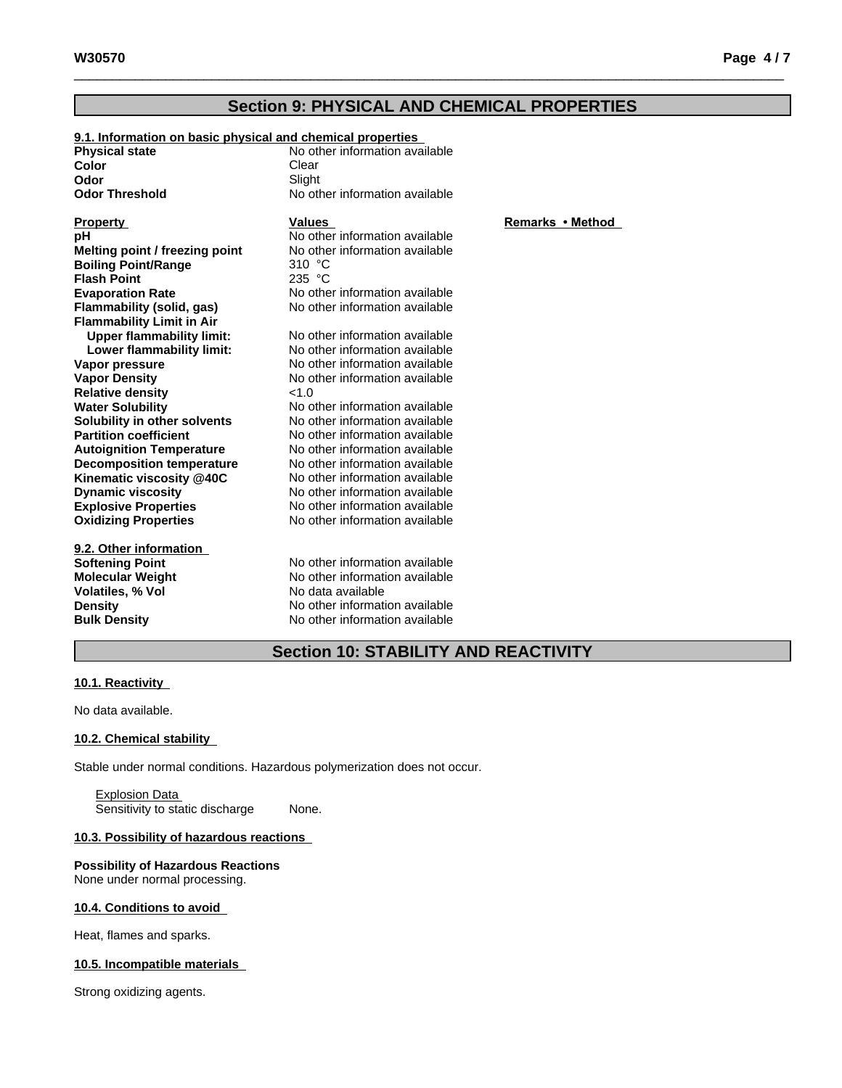# **Section 9: PHYSICAL AND CHEMICAL PROPERTIES**

| 9.1. Information on basic physical and chemical properties |                                |              |
|------------------------------------------------------------|--------------------------------|--------------|
| <b>Physical state</b>                                      | No other information available |              |
| Color                                                      | Clear                          |              |
| Odor                                                       | Slight                         |              |
| <b>Odor Threshold</b>                                      | No other information available |              |
| <b>Property</b>                                            | <b>Values</b>                  | Remarks • Me |
| pН                                                         | No other information available |              |
| Melting point / freezing point                             | No other information available |              |
| <b>Boiling Point/Range</b>                                 | 310 °C                         |              |
| <b>Flash Point</b>                                         | 235 °C                         |              |
| <b>Evaporation Rate</b>                                    | No other information available |              |
| Flammability (solid, gas)                                  | No other information available |              |
| <b>Flammability Limit in Air</b>                           |                                |              |
| <b>Upper flammability limit:</b>                           | No other information available |              |
| Lower flammability limit:                                  | No other information available |              |
| Vapor pressure                                             | No other information available |              |
| <b>Vapor Density</b>                                       | No other information available |              |
| <b>Relative density</b>                                    | <1.0                           |              |
| <b>Water Solubility</b>                                    | No other information available |              |
| Solubility in other solvents                               | No other information available |              |
| <b>Partition coefficient</b>                               | No other information available |              |
| <b>Autoignition Temperature</b>                            | No other information available |              |
| <b>Decomposition temperature</b>                           | No other information available |              |
| Kinematic viscosity @40C                                   | No other information available |              |
| <b>Dynamic viscosity</b>                                   | No other information available |              |
| <b>Explosive Properties</b>                                | No other information available |              |
| <b>Oxidizing Properties</b>                                | No other information available |              |
| 9.2. Other information                                     |                                |              |
| Softening Point                                            | No other information available |              |
| Molecular Weight                                           | No other information available |              |
| Volatiles, % Vol                                           | No data available              |              |
| <b>Density</b>                                             | No other information available |              |
| <b>Bulk Density</b>                                        | No other information available |              |
|                                                            |                                |              |

### **Property • Method**

# **Section 10: STABILITY AND REACTIVITY**

#### **10.1. Reactivity**

No data available.

#### **10.2. Chemical stability**

Stable under normal conditions. Hazardous polymerization does not occur.

Explosion Data Sensitivity to static discharge None.

#### **10.3. Possibility of hazardous reactions**

#### **Possibility of Hazardous Reactions** None under normal processing.

#### **10.4. Conditions to avoid**

Heat, flames and sparks.

#### **10.5. Incompatible materials**

Strong oxidizing agents.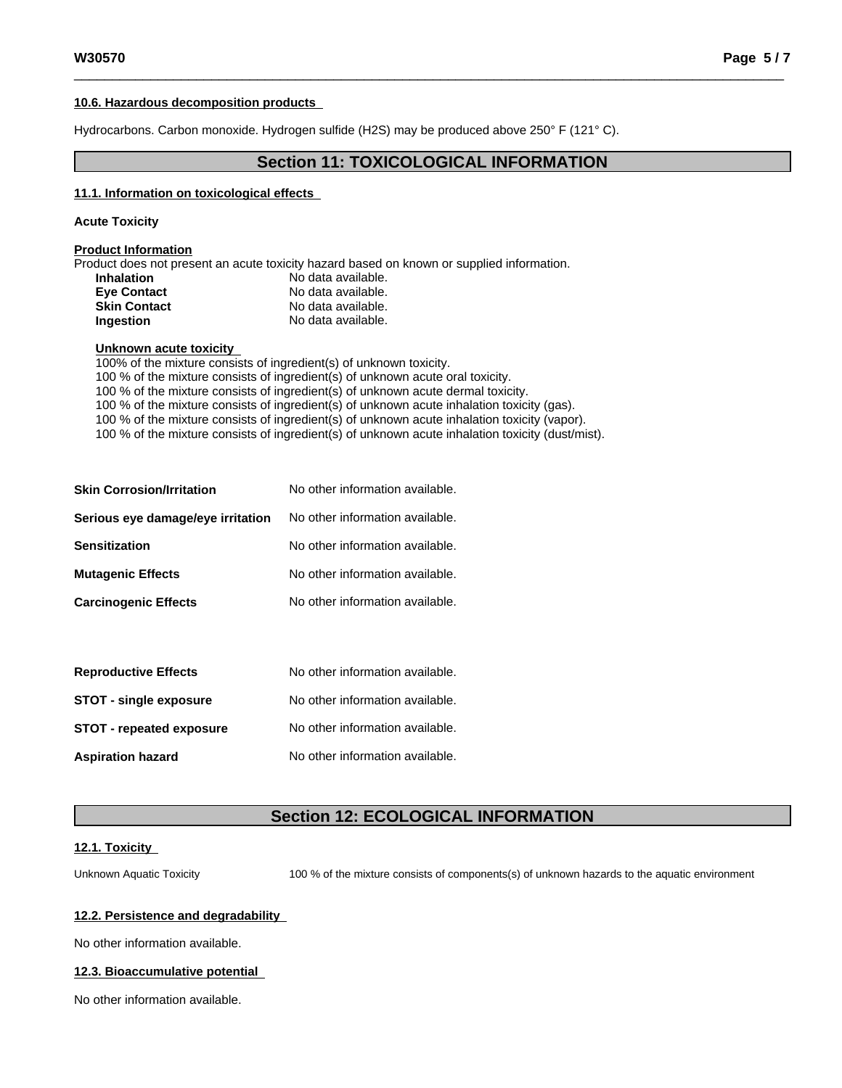#### **10.6. Hazardous decomposition products**

Hydrocarbons. Carbon monoxide. Hydrogen sulfide (H2S) may be produced above 250° F (121° C).

## **Section 11: TOXICOLOGICAL INFORMATION**

#### **11.1. Information on toxicologicaleffects**

#### **Acute Toxicity**

#### **Product Information**

Product does not present an acute toxicity hazard based on known or supplied information.

| <b>Inhalation</b>   | No data available. |
|---------------------|--------------------|
| <b>Eve Contact</b>  | No data available. |
| <b>Skin Contact</b> | No data available. |
| Ingestion           | No data available. |

#### **Unknown acute toxicity**

100% of the mixture consists of ingredient(s) of unknown toxicity. 100 % of the mixture consists of ingredient(s) of unknown acute oral toxicity. 100 % of the mixture consists of ingredient(s) of unknown acute dermal toxicity. 100 % of the mixture consists of ingredient(s) of unknown acute inhalation toxicity (gas). 100 % of the mixture consists of ingredient(s) of unknown acute inhalation toxicity (vapor). 100 % of the mixture consists of ingredient(s) of unknown acute inhalation toxicity (dust/mist).

| <b>Skin Corrosion/Irritation</b>  | No other information available. |
|-----------------------------------|---------------------------------|
| Serious eye damage/eye irritation | No other information available. |
| Sensitization                     | No other information available. |
| <b>Mutagenic Effects</b>          | No other information available. |
| <b>Carcinogenic Effects</b>       | No other information available. |
|                                   |                                 |

| <b>Reproductive Effects</b>     | No other information available. |
|---------------------------------|---------------------------------|
| <b>STOT - single exposure</b>   | No other information available. |
| <b>STOT - repeated exposure</b> | No other information available. |
| <b>Aspiration hazard</b>        | No other information available. |

# **Section 12: ECOLOGICAL INFORMATION**

#### **12.1. Toxicity**

Unknown Aquatic Toxicity 100 % of the mixture consists of components(s) of unknown hazards to the aquatic environment

#### **12.2. Persistence and degradability**

No other information available.

#### **12.3. Bioaccumulative potential**

No other information available.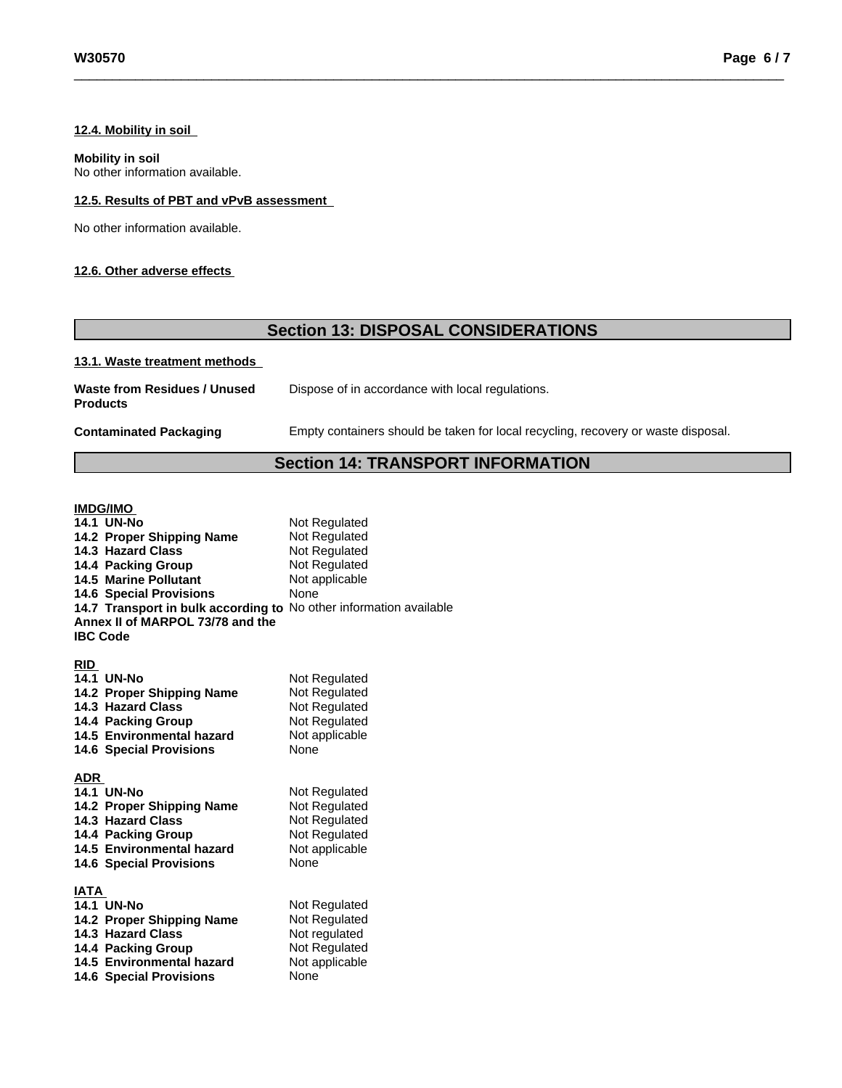#### **12.4. Mobility in soil**

#### **Mobility in soil**

No other information available.

### **12.5. Results of PBT and vPvB assessment**

No other information available.

#### **12.6. Other adverse effects**

# **Section 13: DISPOSAL CONSIDERATIONS**

#### **13.1. Waste treatment methods**

| Waste from Residues / Unused | Dispose of in accordance with local |
|------------------------------|-------------------------------------|
| <b>Products</b>              |                                     |

**Contaminated Packaging** Empty containers should be taken forlocal recycling, recovery or waste disposal.

regulations.

# **Section 14: TRANSPORT INFORMATION**

#### **IMDG/IMO**

| <b>14.1 UN-No</b>                                                  | Not Regulated  |
|--------------------------------------------------------------------|----------------|
| 14.2 Proper Shipping Name                                          | Not Regulated  |
| 14.3 Hazard Class                                                  | Not Regulated  |
| 14.4 Packing Group                                                 | Not Regulated  |
| <b>14.5 Marine Pollutant</b>                                       | Not applicable |
| <b>14.6 Special Provisions</b>                                     | None           |
| 14.7 Transport in bulk according to No other information available |                |
| Annex II of MARPOL 73/78 and the                                   |                |
| <b>IBC Code</b>                                                    |                |
|                                                                    |                |
| <b>RID</b>                                                         |                |
| <b>14.1 UN-No</b>                                                  | Not Regulated  |
| 14.2 Proper Shipping Name                                          | Not Regulated  |
| 14.3 Hazard Class                                                  | Not Regulated  |
| 14.4 Packing Group                                                 | Not Regulated  |
| 14.5 Environmental hazard                                          | Not applicable |
| <b>14.6 Special Provisions</b>                                     | <b>None</b>    |
|                                                                    |                |
| <b>ADR</b>                                                         |                |
| 14.1 UN-No                                                         | Not Regulated  |
| 14.2 Proper Shipping Name                                          | Not Regulated  |
| 14.3 Hazard Class                                                  | Not Regulated  |
| 14.4 Packing Group                                                 | Not Regulated  |
| 14.5 Environmental hazard                                          | Not applicable |
| <b>14.6 Special Provisions</b>                                     | None           |
|                                                                    |                |
| IATA                                                               |                |
| <b>14.1 UN-No</b>                                                  | Not Regulated  |
| 14.2 Proper Shipping Name                                          | Not Regulated  |
| 14.3 Hazard Class                                                  | Not regulated  |
| 14.4 Packing Group                                                 | Not Regulated  |
| 14.5 Environmental hazard                                          | Not applicable |
| <b>14.6 Special Provisions</b>                                     | None           |
|                                                                    |                |